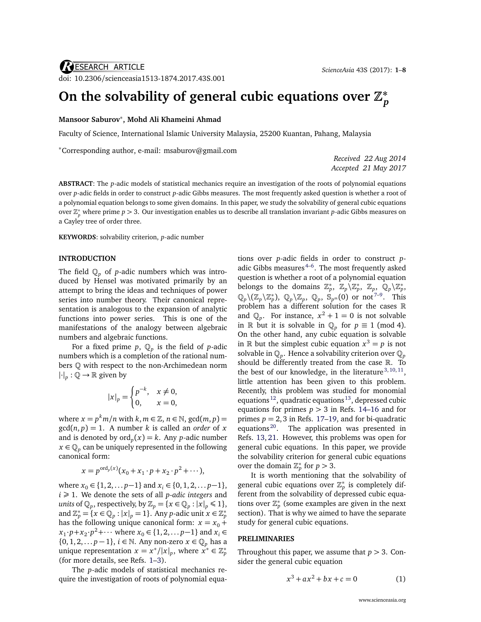# **On the solvability of general cubic equations over Z ∗** *p*

### **Mansoor Saburov**<sup>∗</sup> **, Mohd Ali Khameini Ahmad**

Faculty of Science, International Islamic University Malaysia, 25200 Kuantan, Pahang, Malaysia

<sup>∗</sup>Corresponding author, e-mail: [msaburov@gmail.com](mailto:msaburov@gmail.com)

*Received 22 Aug 2014 Accepted 21 May 2017*

**ABSTRACT**: The *p*-adic models of statistical mechanics require an investigation of the roots of polynomial equations over *p*-adic fields in order to construct *p*-adic Gibbs measures. The most frequently asked question is whether a root of a polynomial equation belongs to some given domains. In this paper, we study the solvability of general cubic equations *p* where prime *p* > 3. Our investigation enables us to describe all translation invariant *p*-adic Gibbs measures on a Cayley tree of order three.

**KEYWORDS**: solvability criterion, *p*-adic number

### **INTRODUCTION**

The field  $\mathbb{Q}_p$  of *p*-adic numbers which was introduced by Hensel was motivated primarily by an attempt to bring the ideas and techniques of power series into number theory. Their canonical representation is analogous to the expansion of analytic functions into power series. This is one of the manifestations of the analogy between algebraic numbers and algebraic functions.

For a fixed prime  $p$ ,  $\mathbb{Q}_p$  is the field of *p*-adic numbers which is a completion of the rational numbers Q with respect to the non-Archimedean norm  $|\cdot|_p : \overline{\mathbb{Q}} \to \mathbb{R}$  given by

$$
|x|_p = \begin{cases} p^{-k}, & x \neq 0, \\ 0, & x = 0, \end{cases}
$$

where  $x = p^k m/n$  with  $k, m \in \mathbb{Z}$ ,  $n \in \mathbb{N}$ ,  $gcd(m, p) =$  $gcd(n, p) = 1$ . A number *k* is called an *order* of *x* and is denoted by  $\mathrm{ord}_p(x) = k$ . Any *p*-adic number  $x \in \mathbb{Q}_p$  can be uniquely represented in the following canonical form:

$$
x = p^{\text{ord}_p(x)}(x_0 + x_1 \cdot p + x_2 \cdot p^2 + \cdots),
$$

where  $x_0$  ∈ {1, 2, . . . *p*−1} and  $x_i$  ∈ {0, 1, 2, . . . *p*−1},  $i \geq 1$ . We denote the sets of all *p*-adic integers and *units* of  $\mathbb{Q}_p$ , respectively, by  $\mathbb{Z}_p = \{x \in \mathbb{Q}_p : |x|_p \leq 1\},$ and  $\mathbb{Z}_p^* = \{x \in \mathbb{Q}_p : |x|_p = 1\}$ . Any *p*-adic unit  $x \in \mathbb{Z}_p^*$ has the following unique canonical form:  $x = x_0 +$ *x*<sub>1</sub> ·*p*+*x*<sub>2</sub> ·*p*<sup>2</sup>+··· where *x*<sub>0</sub> ∈ {1, 2, . . . *p*−1} and *x*<sup>*i*</sup> ∈ {0, 1, 2, . . . *p* − 1}, *i* ∈ N. Any non-zero *x* ∈ Q*<sup>p</sup>* has a unique representation  $x = x^*/|x|_p$ , where  $x^* \in \mathbb{Z}_p^*$ (for more details, see Refs. [1](#page-6-0)[–3\)](#page-6-1).

The *p*-adic models of statistical mechanics require the investigation of roots of polynomial equations over *p*-adic fields in order to construct *p*adic Gibbs measures $4-6$  $4-6$ . The most frequently asked question is whether a root of a polynomial equation belongs to the domains  $\mathbb{Z}_p^*$ ,  $\mathbb{Z}_p \backslash \mathbb{Z}_p^*$ ,  $\mathbb{Z}_p$ ,  $\mathbb{Q}_p \backslash \mathbb{Z}_p^*$ ,  $\mathbb{Q}_p\setminus(\mathbb{Z}_p\setminus\mathbb{Z}_p^*),\ \mathbb{Q}_p\setminus\mathbb{Z}_p,\ \mathbb{Q}_p,\ \mathbb{S}_{p^m}(0) \text{ or } \text{not}^{7-9}.$  $\mathbb{Q}_p\setminus(\mathbb{Z}_p\setminus\mathbb{Z}_p^*),\ \mathbb{Q}_p\setminus\mathbb{Z}_p,\ \mathbb{Q}_p,\ \mathbb{S}_{p^m}(0) \text{ or } \text{not}^{7-9}.$  $\mathbb{Q}_p\setminus(\mathbb{Z}_p\setminus\mathbb{Z}_p^*),\ \mathbb{Q}_p\setminus\mathbb{Z}_p,\ \mathbb{Q}_p,\ \mathbb{S}_{p^m}(0) \text{ or } \text{not}^{7-9}.$  This problem has a different solution for the cases R and  $\mathbb{Q}_p$ . For instance,  $x^2 + 1 = 0$  is not solvable in R but it is solvable in  $\mathbb{Q}_p$  for  $p \equiv 1 \pmod{4}$ . On the other hand, any cubic equation is solvable in  $\mathbb R$  but the simplest cubic equation  $x^3 = p$  is not solvable in Q*<sup>p</sup>* . Hence a solvability criterion over Q*<sup>p</sup>* should be differently treated from the case R. To the best of our knowledge, in the literature  $3, 10, 11$  $3, 10, 11$  $3, 10, 11$  $3, 10, 11$  $3, 10, 11$ , little attention has been given to this problem. Recently, this problem was studied for monomial equations<sup>[12](#page-7-5)</sup>, quadratic equations<sup>[13](#page-7-6)</sup>, depressed cubic equations for primes  $p > 3$  in Refs. [14–](#page-7-7)[16](#page-7-8) and for primes  $p = 2, 3$  in Refs. [17](#page-7-9)[–19,](#page-7-10) and for bi-quadratic equations [20](#page-7-11). The application was presented in Refs. [13,](#page-7-6) [21.](#page-7-12) However, this problems was open for general cubic equations. In this paper, we provide the solvability criterion for general cubic equations over the domain  $\mathbb{Z}_p^*$  for  $p > 3$ .

It is worth mentioning that the solvability of general cubic equations over  $\mathbb{Z}_p^*$  is completely different from the solvability of depressed cubic equations over  $\mathbb{Z}_p^*$  (some examples are given in the next section). That is why we aimed to have the separate study for general cubic equations.

### **PRELIMINARIES**

Throughout this paper, we assume that  $p > 3$ . Consider the general cubic equation

<span id="page-0-0"></span>
$$
x^3 + ax^2 + bx + c = 0 \tag{1}
$$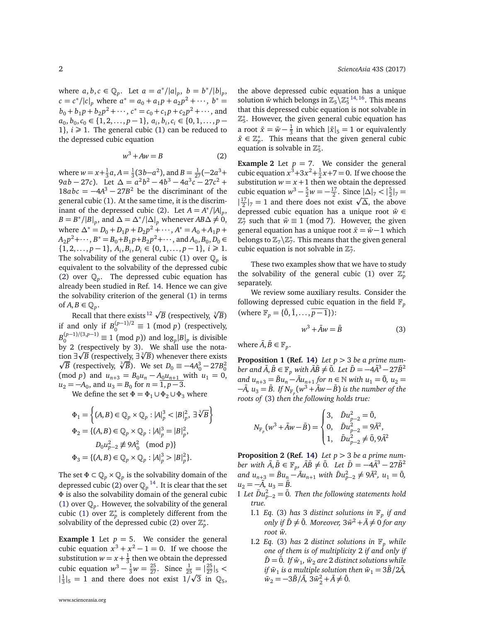where  $a, b, c \in \mathbb{Q}_p$ . Let  $a = a^*/|a|_p$ ,  $b = b^*/|b|_p$ ,  $c = c^* / |c|_p$  where  $a^* = a_0 + a_1 p + a_2 p^2 + \cdots, b^* =$  $b_0 + b_1 p + b_2 p^2 + \cdots$ ,  $c^* = c_0 + c_1 p + c_2 p^2 + \cdots$ , and  $a_0, b_0, c_0 \in \{1, 2, \ldots, p-1\}, a_i, b_i, c_i \in \{0, 1, \ldots, p-1\}$ 1},  $i \ge 1$ . The general cubic [\(1\)](#page-0-0) can be reduced to the depressed cubic equation

<span id="page-1-0"></span>
$$
w^3 + Aw = B \tag{2}
$$

where  $w = x + \frac{1}{3}a$ ,  $A = \frac{1}{3}(3b - a^2)$ , and  $B = \frac{1}{27}(-2a^3 +$  $9ab - 27c$ ). Let  $\Delta = a^2b^2 - 4b^3 - 4a^3c - 27c^2 +$  $18abc = -4A^3 - 27B^2$  be the discriminant of the general cubic [\(1\)](#page-0-0). At the same time, it is the discrim-inant of the depressed cubic [\(2\)](#page-1-0). Let  $A = A^* / |A|_p$ ,  $B = B^* / |B|_p$ , and  $\Delta = \Delta^* / |\Delta|_p$  whenever  $AB \Delta \neq 0$ , where  $\Delta^* = D_0 + D_1 p + D_2 p^2 + \cdots$ ,  $A^* = A_0 + A_1 p +$  $A_2 p^2 + \cdots$ ,  $B^* = B_0 + B_1 p + B_2 p^2 + \cdots$ , and  $A_0, B_0, D_0 \in$ {1, 2, . . . , *p* − 1},  $A_i$ ,  $B_i$ ,  $D_i$  ∈ {0, 1, . . . , *p* − 1},  $i \ge 1$ . The solvability of the general cubic [\(1\)](#page-0-0) over  $\mathbb{Q}_p$  is equivalent to the solvability of the depressed cubic [\(2\)](#page-1-0) over  $\mathbb{Q}_p$ . The depressed cubic equation has already been studied in Ref. [14.](#page-7-7) Hence we can give the solvability criterion of the general [\(1\)](#page-0-0) in terms of  $A, B \in \mathbb{Q}_p$ .

 $\mathcal{B} \in \mathbb{Q}_p.$  Recall that there exists  $^{12}$  $^{12}$  $^{12}$   $\sqrt{B}$  (respectively,  $\sqrt[3]{B}$ ) if and only if  $B_0^{(p-1)/2} \equiv 1 \pmod{p}$  (respectively,  $B_0^{(p-1)/(3,p-1)} \equiv 1 \pmod{p}$  and  $\log_p |B|_p$  is divisible by 2 (respectively by 3). We shall use the nota-<br>tion  $\frac{1}{2}$  (negatively  $\frac{1}{2}$ ) whenever these evitation  $\exists \sqrt{B}$  (respectively,  $\exists \sqrt[3]{B}$ ) whenever there exists  $\overline{B}$  (respectively,  $\sqrt[3]{B}$ ). We set *D*<sub>0</sub> ≡ −4*A*<sub>0</sub><sup>3</sup> − 27*B*<sub>0</sub><sup>2</sup>  $\pmod{p}$  and  $u_{n+3} = B_0 u_n - A_0 u_{n+1}$  with  $u_1 = 0$ ,  $u_2 = -A_0$ , and  $u_3 = B_0$  for  $n = \overline{1, p-3}$ .

We define the set  $\Phi = \Phi_1 \cup \Phi_2 \cup \Phi_3$  where

$$
\Phi_1 = \left\{ (A, B) \in \mathbb{Q}_p \times \mathbb{Q}_p : |A|_p^3 < |B|_p^2, \exists \sqrt[3]{B} \right\}
$$
\n
$$
\Phi_2 = \left\{ (A, B) \in \mathbb{Q}_p \times \mathbb{Q}_p : |A|_p^3 = |B|_p^2, \quad D_0 u_{p-2}^2 \not\equiv 9A_0^2 \pmod{p} \right\}
$$
\n
$$
\Phi_3 = \left\{ (A, B) \in \mathbb{Q}_p \times \mathbb{Q}_p : |A|_p^3 > |B|_p^2 \right\}.
$$

The set  $\Phi \subset \mathbb{Q}_p \times \mathbb{Q}_p$  is the solvability domain of the depressed cubic [\(2\)](#page-1-0) over  $\mathbb{Q}_p$  <sup>[14](#page-7-7)</sup>. It is clear that the set *Φ* is also the solvability domain of the general cubic [\(1\)](#page-0-0) over  $\mathbb{Q}_p$ . However, the solvability of the general cubic [\(1\)](#page-0-0) over  $\mathbb{Z}_p^*$  is completely different from the solvability of the depressed cubic [\(2\)](#page-1-0) over  $\mathbb{Z}_p^*$ .

**Example 1** Let  $p = 5$ . We consider the general cubic equation  $x^3 + x^2 - 1 = 0$ . If we choose the substitution  $w = x + \frac{1}{3}$  then we obtain the depressed cubic equation  $w^3 - \frac{1}{3}w = \frac{25}{27}$ . Since  $\frac{1}{25} = |\frac{25}{27}|_5 <$  $|\frac{1}{3}|_5 = 1$  and there does not exist  $1/\sqrt{3}$  in  $\mathbb{Q}_5$ , the above depressed cubic equation has a unique solution  $\bar{w}$  which belongs in  $\mathbb{Z}_5 \backslash \mathbb{Z}_5^{*}$  <sup>[14,](#page-7-7) [16](#page-7-8)</sup>. This means that this depressed cubic equation is not solvable in  $\mathbb{Z}_5^*$ . However, the given general cubic equation has a root  $\bar{x} = \bar{w} - \frac{1}{3}$  in which  $|\bar{x}|_5 = 1$  or equivalently  $\bar{x} \in \mathbb{Z}_p^*$ . This means that the given general cubic equation is solvable in  $\mathbb{Z}_5^*$ .

**Example 2** Let  $p = 7$ . We consider the general cubic equation  $x^3+3x^2+\frac{1}{2}x+7=0$ . If we choose the substitution  $w = x + 1$  then we obtain the depressed cubic equation  $w^3 - \frac{5}{2}w = -\frac{17}{2}$ . Since  $|\Delta|_7 < |\frac{5}{2}|_7 =$ cubic equation  $w - \frac{1}{2}w = -\frac{1}{2}$ . Since  $|\Delta|_7 < |\frac{1}{2}|_7 = |\frac{1}{2}|_7 = |\frac{1}{2}|_7 = 1$  and there does not exist  $\sqrt{\Delta}$ , the above depressed cubic equation has a unique root  $\bar{w}$  ∈  $\mathbb{Z}_7^*$  such that  $\bar{w} \equiv 1 \pmod{7}$ . However, the given general equation has a unique root  $\bar{x} = \bar{w} - 1$  which belongs to  $\mathbb{Z}_7\backslash\mathbb{Z}_7^*$ . This means that the given general cubic equation is not solvable in  $\mathbb{Z}_7^*$ .

These two examples show that we have to study the solvability of the general cubic [\(1\)](#page-0-0) over  $\mathbb{Z}_p^*$ separately.

We review some auxiliary results. Consider the following depressed cubic equation in the field  $\mathbb{F}_p$ (where  $\mathbb{F}_p = \{\bar{0}, \bar{1}, \ldots, \bar{p-1}\}\$ :

<span id="page-1-1"></span>
$$
w^3 + \bar{A}w = \bar{B} \tag{3}
$$

where  $\bar{A}, \bar{B} \in \mathbb{F}_p$ .

<span id="page-1-3"></span>**Proposition 1 (Ref. [14\)](#page-7-7)** *Let p >* 3 *be a prime number and*  $\bar{A}$ ,  $\bar{B} \in \mathbb{F}_p$  *with*  $\bar{A}\bar{B} \neq \bar{0}$ *. Let*  $\bar{D} = -4\bar{A}^3 - 27\bar{B}^2$  $\lim_{n \to \infty} u_{n+3} = \bar{B}u_n - \bar{A}u_{n+1}$  for  $n \in \mathbb{N}$  with  $u_1 = \bar{0}$ ,  $u_2 =$  $-\bar{A}$ ,  $u_3 = \bar{B}$ . If  $N_{\mathbb{F}_p} (w^3 + \bar{A}w - \bar{B})$  is the number of the *roots of* [\(3\)](#page-1-1) *then the following holds true:*

$$
N_{\mathbb{F}_p}(w^3 + \bar{A}w - \bar{B}) = \begin{cases} 3, & \bar{D}u_{p-2}^2 = \bar{0}, \\ 0, & \bar{D}u_{p-2}^2 = 9\bar{A}^2, \\ 1, & \bar{D}u_{p-2}^2 \neq \bar{0}, 9\bar{A}^2 \end{cases}
$$

<span id="page-1-2"></span>**Proposition 2 (Ref. [14\)](#page-7-7)** *Let p >* 3 *be a prime num* $b$ er with  $\bar{A}$ , $\bar{B} \in \mathbb{F}_p$ ,  $\bar{A}\bar{B} \neq \bar{0}$ . Let  $\bar{D} = -4\bar{A}^3 - 27\bar{B}^2$  $and u_{n+3} = Bu_{n} - \bar{A}u_{n+1}$  *with*  $\bar{D}u_{p-2}^2 \neq 9\bar{A}^2$ ,  $u_1 = \bar{0}$ ,  $u_2 = -\bar{A}, u_3 = \bar{B}.$ 

- $I$  *Let*  $\bar{D}u_{p-2}^2 = \bar{0}$ *. Then the following statements hold true.*
	- I.1 *Eq.* [\(3\)](#page-1-1) *has* 3 *distinct solutions in* F*<sup>p</sup> if and only if*  $\bar{D} \neq \bar{0}$ *. Moreover,*  $3\bar{w}^2 + \bar{A} \neq 0$  *for any root w.* ¯
	- I.2 *Eq.* [\(3\)](#page-1-1) *has* 2 *distinct solutions in*  $\mathbb{F}_p$  *while one of them is of multiplicity* 2 *if and only if*  $\bar{D} = \bar{0}$ . If  $\bar{w}_1$ ,  $\bar{w}_2$  are 2 distinct solutions while *if*  $\bar{w}_1$  is a multiple solution then  $\bar{w}_1 = 3\bar{B}/2\bar{A}$ ,  $\bar{w}_2 = -3\bar{B}/\bar{A}$ ,  $3\bar{w}_2^2 + \bar{A} \neq \bar{0}$ .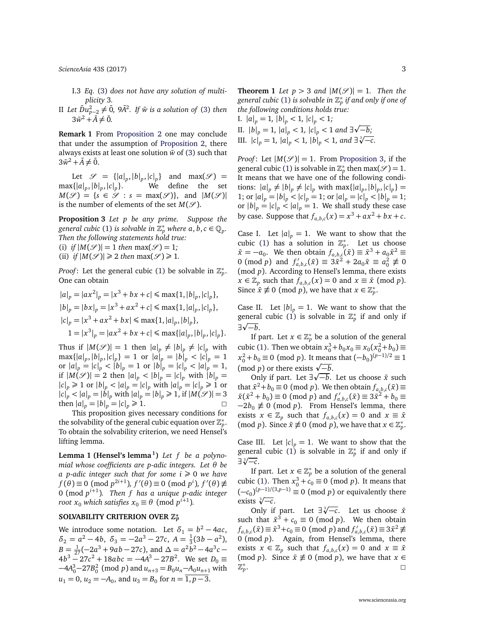*ScienceAsia* [43S \(2017\)](http://www.scienceasia.org/2017.html) 3

- I.3 *Eq.* [\(3\)](#page-1-1) *does not have any solution of multiplicity* 3*.*
- $\text{II}$  *Let*  $\bar{D}u_{p-2}^2 ≠ \bar{0}$ *, 9* $\bar{A}^2$ *. If*  $\bar{w}$  *is a solution of* [\(3\)](#page-1-1) *then*  $3\bar{w}^2 + \bar{A} \neq 0.$

**Remark 1** From [Proposition 2](#page-1-2) one may conclude that under the assumption of [Proposition 2,](#page-1-2) there always exists at least one solution  $\bar{w}$  of [\(3\)](#page-1-1) such that  $3\bar{w}^2 + \bar{A} \neq \bar{0}.$ 

Let  $\mathcal{S} = \{|a|_p, |b|_p, |c|_p\}$  and  $\max(\mathcal{S}) =$  $max{ |a|_p, |b|_p, |c|_p}$ }. We define the set  $M(\mathscr{S}) = \{s \in \mathscr{S} : s = \max(\mathscr{S})\},\$ and  $|M(\mathscr{S})|$ is the number of elements of the set  $M(\mathcal{S})$ .

<span id="page-2-0"></span>**Proposition 3** *Let p be any prime. Suppose the* general cubic [\(1\)](#page-0-0) is solvable in  $\mathbb{Z}_p^*$  where  $a, b, c \in \mathbb{Q}_p$ . *Then the following statements hold true:* (i) *if*  $|M(\mathcal{S})| = 1$  *then* max $(\mathcal{S}) = 1$ *;* 

(ii) *if*  $|M(\mathcal{S})| \geq 2$  *then* max $(\mathcal{S}) \geq 1$ *.* 

*Proof*: Let the general cubic [\(1\)](#page-0-0) be solvable in  $\mathbb{Z}_p^*$ . One can obtain

$$
|a|_p = |ax^2|_p = |x^3 + bx + c| \le \max\{1, |b|_p, |c|_p\},
$$
  
\n
$$
|b|_p = |bx|_p = |x^3 + ax^2 + c| \le \max\{1, |a|_p, |c|_p\},
$$
  
\n
$$
|c|_p = |x^3 + ax^2 + bx| \le \max\{1, |a|_p, |b|_p\},
$$
  
\n
$$
1 = |x^3|_p = |ax^2 + bx + c| \le \max\{|a|_p, |b|_p, |c|_p\}.
$$

Thus if  $|M(\mathcal{S})| = 1$  then  $|a|_p \neq |b|_p \neq |c|_p$  with  $\max\{|a|_p, |b|_p, |c|_p\} = 1$  or  $|a|_p = |b|_p < |c|_p = 1$ or  $|a|_p = |c|_p < |b|_p = 1$  or  $|b|_p = |c|_p < |a|_p = 1$ , if  $|M(\mathcal{S})| = 2$  then  $|a|_p < |b|_p = |c|_p$  with  $|b|_p =$  $|c|_p \ge 1$  or  $|b|_p < |a|_p = |c|_p$  with  $|a|_p = |c|_p \ge 1$  or  $|c|_p < |a|_p = |b|_p$  with  $|a|_p = |b|_p \ge 1$ , if  $|M(\mathcal{S})| = 3$ then  $|a|_p = |b|_p = |c|_p \ge 1$ .

This proposition gives necessary conditions for the solvability of the general cubic equation over  $\mathbb{Z}_p^*$ . To obtain the solvability criterion, we need Hensel's lifting lemma.

**Lemma 1 (Hensel's lemma [1](#page-6-0) )** *Let f be a polynomial whose coefficients are p-adic integers. Let θ be a* p-adic integer such that for some  $i \ge 0$  we have  $f(\theta) \equiv 0 \pmod{p^{2i+1}}$ ,  $f'(\theta) \equiv 0 \pmod{p^i}$ ,  $f'(\theta) \not\equiv$ 0 (mod *p i*+1 )*. Then f has a unique p-adic integer root*  $x_0$  *which satisfies*  $x_0 \equiv \theta \pmod{p^{i+1}}$ .

## **SOLVABILITY CRITERION OVER Z ∗** *p*

We introduce some notation. Let  $\delta_1 = b^2 - 4ac$ ,  $\delta_2 = a^2 - 4b, \ \delta_3 = -2a^3 - 27c, \ A = \frac{1}{3}(3b - a^2),$  $B = \frac{1}{27}(-2a^3 + 9ab - 27c)$ , and  $\Delta = a^2b^2 - 4a^3c 4b^3 - 27c^2 + 18abc = -4A^3 - 27B^2$ . We set  $D_0 \equiv$  $-4A_0^3 - 27B_0^2$  (mod *p*) and  $u_{n+3} = B_0 u_n - A_0 u_{n+1}$  with  $u_1 = 0$ ,  $u_2 = -A_0$ , and  $u_3 = B_0$  for  $n = \overline{1, p-3}$ .

**Theorem 1** *Let*  $p > 3$  *and*  $|M(S)| = 1$ *. Then the general cubic* [\(1\)](#page-0-0) *is solvable in* Z ∗ *p if and only if one of the following conditions holds true:*

I.  $|a|_p = 1$ ,  $|b|_p < 1$ ,  $|c|_p < 1$ ; II.  $|b|_p = 1$ ,  $|a|_p < 1$ ,  $|c|_p < 1$  *and* ∃√−*b*; p III.  $|c|_p = 1$ ,  $|a|_p < 1$ ,  $|c|_p < 1$  and  $\exists \sqrt[n]{-c}$ .<br>III.  $|c|_p = 1$ ,  $|a|_p < 1$ ,  $|b|_p < 1$ , and  $\exists \sqrt[3]{-c}$ .

*Proof*: Let  $|M(S)| = 1$ . From [Proposition 3,](#page-2-0) if the general cubic [\(1\)](#page-0-0) is solvable in  $\mathbb{Z}_p^*$  then max $(\mathcal{S}) = 1$ . It means that we have one of the following conditions:  $|a|_p \neq |b|_p \neq |c|_p$  with  $\max\{|a|_p, |b|_p, |c|_p\}$ 1; or  $|a|_p = |b|_p < |c|_p = 1$ ; or  $|a|_p = |c|_p < |b|_p = 1$ ; or  $|b|_p = |c|_p < |a|_p = 1$ . We shall study these case by case. Suppose that  $f_{a,b,c}(x) = x^3 + ax^2 + bx + c$ .

Case I. Let  $|a|_p = 1$ . We want to show that the cubic [\(1\)](#page-0-0) has a solution in  $\mathbb{Z}_p^*$ . Let us choose  $\bar{x} = -a_0$ . We then obtain  $f_{a,b,c}(\bar{x}) \equiv \bar{x}^3 + a_0 \bar{x}^2 \equiv 0$ 0 (mod *p*) and  $f'_{a,b,c}(\bar{x}) \equiv 3\bar{x}^2 + 2a_0\bar{x} \equiv a_0^2 \not\equiv 0$ (mod *p*). According to Hensel's lemma, there exists  $x \in \mathbb{Z}_p$  such that  $f_{a,b,c}(x) = 0$  and  $x \equiv \bar{x} \pmod{p}$ . Since  $\bar{x} \not\equiv 0 \pmod{p}$ , we have that  $x \in \mathbb{Z}_p^*$ .

Case II. Let  $|b|_p = 1$ . We want to show that the general cubic [\(1\)](#page-0-0) is solvable in  $\mathbb{Z}_p^*$  if and only if ∃√—*b*.

If part. Let  $x \in \mathbb{Z}_p^*$  be a solution of the general cubic [\(1\)](#page-0-0). Then we obtain  $x_0^3 + b_0 x_0 \equiv x_0(x_0^2 + b_0) \equiv$  $x_0^2 + b_0 \equiv 0 \pmod{p}$ . It means that  $(-b_0)^{(p-1)/2} \equiv 1$  $x_0^2 + b_0 = 0$  (mod *p*). It mean<br>(mod *p*) or there exists  $\sqrt{-b}$ .

Only if part. Let  $\exists \sqrt{-b}$ . Let us choose  $\bar{x}$  such that  $\bar{x}^2 + b_0 \equiv 0 \pmod{p}$ . We then obtain  $f_{a,b,c}(\bar{x}) \equiv 0$  $(\bar{x}^2 + b_0) \equiv 0 \pmod{p}$  and  $f'_{a,b,c}(\bar{x}) \equiv 3\bar{x}^2 + b_0 \equiv 0$  $-2b_0 \not\equiv 0 \pmod{p}$ . From Hensel's lemma, there exists  $x \in \mathbb{Z}_p$  such that  $f_{a,b,c}(x) = 0$  and  $x \equiv \bar{x}$ (mod *p*). Since  $\bar{x} \not\equiv 0 \pmod{p}$ , we have that  $x \in \mathbb{Z}_p^*$ .

Case III. Let  $|c|_p = 1$ . We want to show that the general cubic [\(1\)](#page-0-0) is solvable in  $\mathbb{Z}_p^*$  if and only if genera<br>∃∛—*c*.

If part. Let  $x \in \mathbb{Z}_p^*$  be a solution of the general cubic [\(1\)](#page-0-0). Then  $x_0^3 + c_0 \equiv 0 \pmod{p}$ . It means that  $(-c_0)^{(p-1)/(3,p-1)} \equiv 0 \pmod{p}$  or equivalently there exists  $\sqrt[3]{-c}$ .

ts *∢−c.*<br>Only if part. Let ∃*∛−c*. Let us choose *x* such that  $\bar{x}^3 + c_0 \equiv 0 \pmod{p}$ . We then obtain *f*<sub>a,*b*,*c*</sub>( $\bar{x}$ ) ≡  $\bar{x}^3 + c_0$  ≡ 0 (mod *p*) and  $f'_{a,b,c}(\bar{x})$  ≡ 3 $\bar{x}^2$  ≢ 0 (mod *p*). Again, from Hensel's lemma, there exists  $x \in \mathbb{Z}_p$  such that  $f_{a,b,c}(x) = 0$  and  $x \equiv \bar{x}$ (mod *p*). Since  $\bar{x} \not\equiv 0 \pmod{p}$ , we have that  $x \in$ Z ∗ *p* .  $\Box$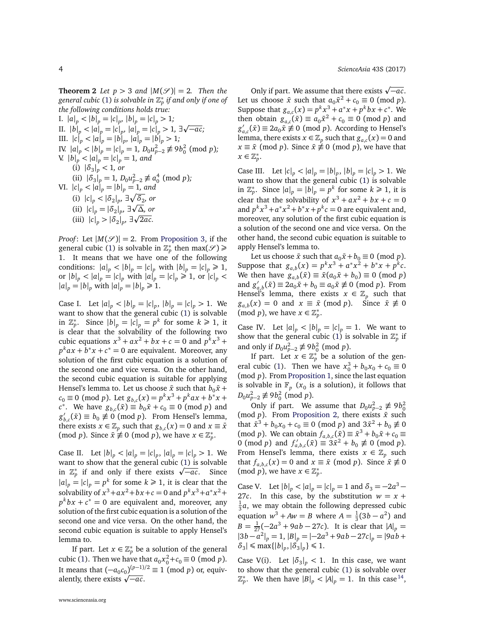**Theorem 2** *Let*  $p > 3$  *and*  $|M(S)| = 2$ *. Then the general cubic* [\(1\)](#page-0-0) *is solvable in* Z ∗ *p if and only if one of the following conditions holds true:*

I.  $|a|_p < |b|_p = |c|_p, |b|_p = |c|_p > 1;$ 1.  $|d|_p < |d|_p = |c|_p, |d|_p = |c|_p > 1$ ;<br>
II.  $|b|_p < |a|_p = |c|_p, |a|_p = |c|_p > 1$ , ∃√−ac; III.  $|c|_p < |a|_p = |b|_p, |a|_p = |b|_p > 1;$ IV.  $|a|_p < |b|_p = |c|_p = 1$ ,  $D_0 u_{p-2}^2 \not\equiv 9b_0^2 \pmod{p}$ ; V.  $|b|_p < |a|_p = |c|_p = 1$ , and  $(i)$   $|\delta_3|_p^2 < 1$ , or (ii)  $|\delta_3|_p = 1$ ,  $D_0 u_{p-2}^2 \not\equiv a_0^4 \pmod{p}$ ;  $\|V\|$ *.*  $|c|_p < |a|_p = |b|_p = 1$ *, and* (i)  $|c|_p < |\delta_2|_p$ ,  $\exists \sqrt{\delta_2}$ , or (ii)  $|c|_p = |\delta_2|_p$ ,  $\exists \sqrt{\Delta}$ , or (iii)  $|c|_p > |\delta_2|_p$ ,  $\exists \sqrt{2ac}$ .

*Proof*: Let  $|M(S)| = 2$ . From [Proposition 3,](#page-2-0) if the general cubic [\(1\)](#page-0-0) is solvable in  $\mathbb{Z}_p^*$  then  $\max(\mathcal{S})$   $\geq$ 1. It means that we have one of the following conditions:  $|a|_p < |b|_p = |c|_p$  with  $|b|_p = |c|_p \ge 1$ , or  $|b|_p < |a|_p = |c|_p$  with  $|a|_p = |c|_p \ge 1$ , or  $|c|_p <$  $|a|_p = |b|_p$  with  $|a|_p = |b|_p \ge 1$ .

Case I. Let  $|a|_p < |b|_p = |c|_p$ ,  $|b|_p = |c|_p > 1$ . We want to show that the general cubic [\(1\)](#page-0-0) is solvable in  $\mathbb{Z}_p^*$ . Since  $|b|_p = |c|_p = p^k$  for some  $k \ge 1$ , it is clear that the solvability of the following two cubic equations  $x^3 + ax^2 + bx + c = 0$  and  $p^k x^3 + c$  $p^k a x + b^* x + c^* = 0$  are equivalent. Moreover, any solution of the first cubic equation is a solution of the second one and vice versa. On the other hand, the second cubic equation is suitable for applying Hensel's lemma to. Let us choose  $\bar{x}$  such that  $b_0\bar{x}$  +  $c_0 \equiv 0 \pmod{p}$ . Let  $g_{b,c}(x) = p^k x^3 + p^k a x + b^* x + c$  $c^*$ . We have  $g_{b,c}(\bar{x}) \equiv b_0 \bar{x} + c_0 \equiv 0 \pmod{p}$  and *g* 0  $b_{b,c}(\bar{x}) \equiv b_0 \not\equiv 0 \pmod{p}$ . From Hensel's lemma, there exists  $x \in \mathbb{Z}_p$  such that  $g_{b,c}(x) = 0$  and  $x \equiv \bar{x}$ (mod *p*). Since  $\bar{x} \neq 0$  (mod *p*), we have  $x \in \mathbb{Z}_p^*$ .

Case II. Let  $|b|_p < |a|_p = |c|_p$ ,  $|a|_p = |c|_p > 1$ . We want to show that the general cubic [\(1\)](#page-0-0) is solvable want to show that the general cubic (1) is solvable<br>in  $\mathbb{Z}_p^*$  if and only if there exists  $\sqrt{-ac}$ . Since  $|a|_p = |c|_p = p^k$  for some  $k \ge 1$ , it is clear that the solvability of  $x^3 + ax^2 + bx + c = 0$  and  $p^k x^3 + a^* x^2 + c$  $p^k bx + c^* = 0$  are equivalent and, moreover, any solution of the first cubic equation is a solution of the second one and vice versa. On the other hand, the second cubic equation is suitable to apply Hensel's lemma to.

If part. Let  $x \in \mathbb{Z}_p^*$  be a solution of the general cubic [\(1\)](#page-0-0). Then we have that  $a_0x_0^2 + c_0 \equiv 0 \pmod{p}$ . It means that  $(-a_0c_0)^{(p-1)/2} \equiv 1 \pmod{p}$  or, equiv-It means that  $(-a_0c_0)^{(p-1)}$ <br>alently, there exists  $\sqrt{-ac}$ .

Only if part. We assume that there exists  $\sqrt{-a c}$ . Let us choose  $\bar{x}$  such that  $a_0 \bar{x}^2 + c_0 \equiv 0 \pmod{p}$ . Suppose that  $g_{a,c}(x) = p^k x^3 + a^* x + p^k bx + c^*$ . We then obtain  $g_{a,c}(\bar{x}) \equiv a_0 \bar{x}^2 + c_0 \equiv 0 \pmod{p}$  and *g* 0  $a_{a,c}$ <sup>'</sup> $(\bar{x})$  ≡ 2*a*<sub>0</sub> $\bar{x}$   $\not\equiv$  0 (mod *p*). According to Hensel's lemma, there exists  $x \in \mathbb{Z}_p$  such that  $g_{a,c}(x) = 0$  and  $x \equiv \bar{x} \pmod{p}$ . Since  $\bar{x} \not\equiv 0 \pmod{p}$ , we have that  $x \in \mathbb{Z}_p^*$ .

Case III. Let  $|c|_p < |a|_p = |b|_p$ ,  $|b|_p = |c|_p > 1$ . We want to show that the general cubic [\(1\)](#page-0-0) is solvable in  $\mathbb{Z}_p^*$ . Since  $|a|_p = |b|_p = p^k$  for some  $k \ge 1$ , it is clear that the solvability of  $x^3 + ax^2 + bx + c = 0$ and  $p^k x^3 + a^* x^2 + b^* x + p^k c = 0$  are equivalent and, moreover, any solution of the first cubic equation is a solution of the second one and vice versa. On the other hand, the second cubic equation is suitable to apply Hensel's lemma to.

Let us choose  $\bar{x}$  such that  $a_0\bar{x} + b_0 \equiv 0 \pmod{p}$ . Suppose that  $g_{a,b}(x) = p^k x^3 + a^* x^2 + b^* x + p^k c$ . We then have  $g_{a,b}(\bar{x}) \equiv \bar{x}(a_0 \bar{x} + b_0) \equiv 0 \pmod{p}$ and  $g'$  $a_{a,b}'(\bar{x}) \equiv 2a_0 \bar{x} + b_0 \equiv a_0 \bar{x} \not\equiv 0 \pmod{p}$ . From Hensel's lemma, there exists  $x \in \mathbb{Z}_p$  such that  $g_{a,b}(x) = 0$  and  $x \equiv \bar{x} \pmod{p}$ . Since  $\bar{x} \not\equiv 0$  $(\text{mod } p)$ , we have  $x \in \mathbb{Z}_p^*$ .

Case IV. Let  $|a|_p < |b|_p = |c|_p = 1$ . We want to show that the general cubic [\(1\)](#page-0-0) is solvable in  $\mathbb{Z}_p^*$  if and only if  $D_0 u_{p-2}^2 \not\equiv 9b_0^2 \pmod{p}$ .

If part. Let  $x \in \mathbb{Z}_p^*$  be a solution of the gen-eral cubic [\(1\)](#page-0-0). Then we have  $x_0^3 + b_0 x_0 + c_0 \equiv 0$ (mod *p*). From [Proposition 1,](#page-1-3) since the last equation is solvable in  $\mathbb{F}_p$  ( $\dot{x}_0$  is a solution), it follows that  $D_0 u_{p-2}^2 \not\equiv 9b_0^2 \pmod{p}$ .

Only if part. We assume that  $D_0 u_{p-2}^2 \not\equiv 9b_0^2$ (mod *p*). From [Proposition 2,](#page-1-2) there exists  $\bar{x}$  such that  $\bar{x}^3 + b_0 x_0 + c_0 \equiv 0 \pmod{p}$  and  $3\bar{x}^2 + b_0 \not\equiv 0$ (mod *p*). We can obtain  $f_{a,b,c}(\bar{x}) \equiv \bar{x}^3 + b_0 \bar{x} + c_0 \equiv$ 0 (mod *p*) and  $f'_{a,b,c}(\bar{x}) \equiv 3\bar{x}^2 + b_0 \not\equiv 0 \pmod{p}$ . From Hensel's lemma, there exists  $x \in \mathbb{Z}_p$  such that  $f_{a,b,c}(x) = 0$  and  $x \equiv \bar{x} \pmod{p}$ . Since  $\bar{x} \not\equiv 0$  $(\text{mod } p)$ , we have  $x \in \mathbb{Z}_p^*$ .

Case V. Let  $|b|_p < |a|_p = |c|_p = 1$  and  $\delta_3 = -2a^3 -$ 27*c*. In this case, by the substitution  $w = x +$  $\frac{1}{3}a$ , we may obtain the following depressed cubic equation  $w^3 + Aw = B$  where  $A = \frac{1}{3}(3b - a^2)$  and  $B = \frac{1}{27}(-2a^3 + 9ab - 27c)$ . It is clear that  $|A|_p =$  $|3b - a^2|_p = 1$ ,  $|B|_p = |-2a^3 + 9ab - 27c|_p = |9ab +$  $\delta_3$ |  $\leq$  max $\{|b|_p, |\delta_3|_p\} \leq 1$ .

Case V(i). Let  $|\delta_3|_p < 1$ . In this case, we want to show that the general cubic [\(1\)](#page-0-0) is solvable over  $\mathbb{Z}_p^*$ . We then have  $|B|_p < |A|_p = 1$ . In this case <sup>[14](#page-7-7)</sup>,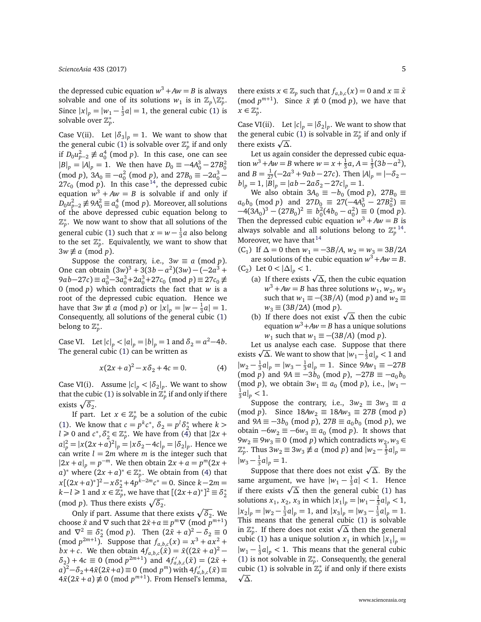the depressed cubic equation  $w^3 + Aw = B$  is always solvable and one of its solutions  $w_1$  is in  $\mathbb{Z}_p \backslash \mathbb{Z}_p^*$ . Since  $|x|_p = |w_1 - \frac{1}{3}a| = 1$ , the general cubic [\(1\)](#page-0-0) is solvable over  $\mathbb{Z}_p^*$ .

Case V(ii). Let  $|\delta_3|_p = 1$ . We want to show that the general cubic [\(1\)](#page-0-0) is solvable over  $\mathbb{Z}_p^*$  if and only if  $D_0 u_{p-2}^2 \not\equiv a_0^4 \pmod{p}$ . In this case, one can see  $|B|_p = |A|_p = 1$ . We then have  $D_0 \equiv -4A_0^3 - 27B_0^2$  $(\text{mod } p)$ ,  $3A_0 \equiv -a_0^2 \pmod{p}$ , and  $27B_0 \equiv -2a_0^3 27c_0$  (mod *p*). In this case <sup>[14](#page-7-7)</sup>, the depressed cubic equation  $w^3 + Aw = B$  is solvable if and only if  $D_0 u_{p-2}^2$  ≢ 9 $A_0^2 \equiv a_0^4 \pmod{p}$ . Moreover, all solutions of the above depressed cubic equation belong to  $\mathbb{Z}_p^*$ . We now want to show that all solutions of the general cubic [\(1\)](#page-0-0) such that  $x = w - \frac{1}{3}a$  also belong to the set  $\mathbb{Z}_p^*$ . Equivalently, we want to show that  $3w \not\equiv a \pmod{p}$ .

Suppose the contrary, i.e.,  $3w \equiv a \pmod{p}$ . One can obtain  $(3w)^3 + 3(3b - a^2)(3w) - (-2a^3 +$ 9*a***b**−27*c*) ≡  $a_0^3$ −3 $a_0^3$ +2 $a_0^3$ +27*c*<sub>0</sub> (mod *p*) ≡ 27*c*<sub>0</sub> ≢ 0 (mod *p*) which contradicts the fact that *w* is a root of the depressed cubic equation. Hence we have that  $3w \not\equiv a \pmod{p}$  or  $|x|_p = |w - \frac{1}{3}a| = 1$ . Consequently, all solutions of the general cubic [\(1\)](#page-0-0) belong to  $\mathbb{Z}_p^*$ .

Case VI. Let  $|c|_p < |a|_p = |b|_p = 1$  and  $\delta_2 = a^2 - 4b$ . The general cubic [\(1\)](#page-0-0) can be written as

<span id="page-4-0"></span>
$$
x(2x + a)^2 - x\delta_2 + 4c = 0.
$$
 (4)

Case VI(i). Assume  $|c|_p < |\delta_2|_p$ . We want to show that the cubic [\(1\)](#page-0-0) is solvable in  $\mathbb{Z}_p^*$  if and only if there exists  $\sqrt{\delta_2}$ .

If part. Let  $x \in \mathbb{Z}_p^*$  be a solution of the cubic [\(1\)](#page-0-0). We know that  $c = p^k c^*$ ,  $\delta_2 = p^l \delta_2^*$  where  $k >$  $l \geqslant 0$  and  $c^*, \delta^*_2$  $x_2^* \in \mathbb{Z}_p^*$ . We have from [\(4\)](#page-4-0) that  $|2x +$  $|a|^2_p = |x(2x+a)^2|_p = |x\delta_2 - 4c|_p = |\delta_2|_p$ . Hence we can write  $l = 2m$  where *m* is the integer such that  $|2x + a|_p = p^{-m}$ . We then obtain  $2x + a = p^m(2x + a)$ *a*)<sup>\*</sup> where  $(2x + a)^* \in \mathbb{Z}_p^*$ . We obtain from [\(4\)](#page-4-0) that  $x[(2x+a)^*]^2 - x\delta_2^* + 4p^k^2 - n^2c^* = 0$ . Since  $k - 2m =$ *k*−*l* ≥ 1 and  $x \in \mathbb{Z}_p^*$ , we have that  $[(2x+a)^*]^2 \equiv \delta_2^*$ 2 (mod *p*). Thus there exists  $\sqrt{\delta_2}$ .

Only if part. Assume that there exists  $\sqrt{\delta_2}$ . We choose  $\bar{x}$  and  $\nabla$  such that  $2\bar{x}+a \equiv p^m \nabla \pmod{p^{m+1}}$ and  $\nabla^2 \equiv \delta^*$ <sub>2</sub>  $^{*}_{2}$  (mod *p*). Then  $(2\bar{x} + a)^{2} - \delta_{2} \equiv 0$  $(\text{mod } p^{2m+1})$ . Suppose that  $f_{a,b,c}(x) = x^3 + ax^2 +$ *bx* + *c*. We then obtain  $4f_{a,b,c}(\bar{x}) = \bar{x}((2\bar{x} + a)^2 - a)$  $\delta_2$ ) + 4*c*  $\equiv$  0 (mod  $p^{2m+1}$ ) and  $4f'_{a,b,c}(\bar{x}) = (2\bar{x} +$  $a^2 - \delta_2 + 4\bar{x}(2\bar{x} + a) \equiv 0 \pmod{p^m}$  with  $4f'_{a,b,c}(\bar{x}) \equiv$  $4\bar{x}(2\bar{x} + a) \not\equiv 0 \pmod{p^{m+1}}$ . From Hensel's lemma, there exists  $x \in \mathbb{Z}_p$  such that  $f_{a,b,c}(x) = 0$  and  $x \equiv \bar{x}$ (mod  $p^{m+1}$ ). Since  $\bar{x} \not\equiv 0 \pmod{p}$ , we have that  $x \in \mathbb{Z}_p^*$ .

Case VI(ii). Let  $|c|_p = |\delta_2|_p$ . We want to show that the general cubic [\(1\)](#page-0-0) is solvable in  $\mathbb{Z}_p^*$  if and only if there exists <sup>p</sup> *∆*.

Let us again consider the depressed cubic equation  $w^3 + Aw = B$  where  $w = x + \frac{1}{3}a$ ,  $A = \frac{1}{3}(3b - a^2)$ , and  $B = \frac{1}{27}(-2a^3 + 9ab - 27c)$ . Then  $|A|_p = |-\delta_2$  $b|_p = 1$ ,  $|B|_p = |ab - 2a\delta_2 - 27c|_p = 1$ .

We also obtain  $3A_0 \equiv -b_0$  (mod *p*),  $27B_0 \equiv$  $a_0 b_0 \pmod{p}$  and  $27D_0 \equiv 27(-4A_0^3 - 27B_0^2) \equiv$  $-4(3A_0)^3 - (27B_0)^2 \equiv b_0^2(4b_0 - a_0^2) \equiv 0 \pmod{p}.$ Then the depressed cubic equation  $w^3 + Aw = B$  is always solvable and all solutions belong to  $\mathbb{Z}_p^{*}$  <sup>[14](#page-7-7)</sup>. Moreover, we have that  $14$ 

 $(C_1)$  If  $\Delta = 0$  then  $w_1 = -3B/A$ ,  $w_2 = w_3 = 3B/2A$ are solutions of the cubic equation  $w^3 + Aw = B$ . (C<sub>2</sub>) Let 0 <  $|\Delta|_p$  < 1.

- (a) If there exists  $\sqrt{\Delta}$ , then the cubic equation  $w^3 + Aw = B$  has three solutions  $w_1, w_2, w_3$ such that  $w_1 \equiv -(3B/A) \pmod{p}$  and  $w_2 \equiv$  $w_3 \equiv (3B/2A) \pmod{p}$ .
- $w_3 \equiv (3B/2A) \pmod{p}$ .<br>(b) If there does not exist  $\sqrt{\Delta}$  then the cubic equation  $w^3 + Aw = B$  has a unique solutions  $w_1$  such that  $w_1 \equiv -(3B/A) \pmod{p}$ .

Let us analyse each case. Suppose that there Let us analyse each case. Suppose that there exists  $\sqrt{\Delta}$ . We want to show that  $|w_1 - \frac{1}{3}a|_p < 1$  and  $|w_2 - \frac{1}{3}a|_p = |w_3 - \frac{1}{3}a|_p = 1$ . Since  $9Aw_1 \equiv -27B$  $(\text{mod } p)$  and  $9A \equiv -3b_0 \pmod{p}$ ,  $-27B \equiv -a_0b_0$ (mod *p*), we obtain  $3w_1 \equiv a_0 \pmod{p}$ , i.e.,  $|w_1 - w_2|$  $\frac{1}{3}a|_p < 1.$ 

Suppose the contrary, i.e.,  $3w_2 \equiv 3w_3 \equiv a$ (mod *p*). Since  $18Aw_2 \equiv 18Aw_3 \equiv 27B \pmod{p}$ and  $9A \equiv -3b_0 \pmod{p}$ ,  $27B \equiv a_0b_0 \pmod{p}$ , we obtain  $-6w_2 \equiv -6w_3 \equiv a_0 \pmod{p}$ . It shows that 9 $w_2$  ≡ 9 $w_3$  ≡ 0 (mod *p*) which contradicts  $w_2$ ,  $w_3$  ∈  $\mathbb{Z}_p^*$ . Thus  $3w_2 \equiv 3w_3 \not\equiv a \pmod{p}$  and  $|w_2 - \frac{1}{3}a|_p =$  $|w_3 - \frac{1}{3}a|_p = 1.$ 

Suppose that there does not exist <sup>p</sup> *∆*. By the same argument, we have  $|w_1 - \frac{1}{3}a| < 1$ . Hence same argument, we nave  $|w_1 - \frac{1}{3}a| < 1$ . Hence<br>if there exists  $\sqrt{\Delta}$  then the general cubic [\(1\)](#page-0-0) has solutions  $x_1, x_2, x_3$  in which  $|x_1|_p = |w_1 - \frac{1}{3}a|_p < 1$ ,  $|x_2|_p = |w_2 - \frac{1}{3}a|_p = 1$ , and  $|x_3|_p = |w_3 - \frac{1}{3}a|_p = 1$ . This means that the general cubic [\(1\)](#page-0-0) is solvable This means that the general cubic (1) is solvable<br>in  $\mathbb{Z}_p^*$ . If there does not exist  $\sqrt{\Delta}$  then the general cubic [\(1\)](#page-0-0) has a unique solution  $x_1$  in which  $|x_1|_p =$  $|w_1 - \frac{1}{3}a|_p < 1$ . This means that the general cubic [\(1\)](#page-0-0) is not solvable in  $\mathbb{Z}_p^*$ . Consequently, the general cubic [\(1\)](#page-0-0) is solvable in  $\mathbb{Z}_p^*$  if and only if there exists *∆*.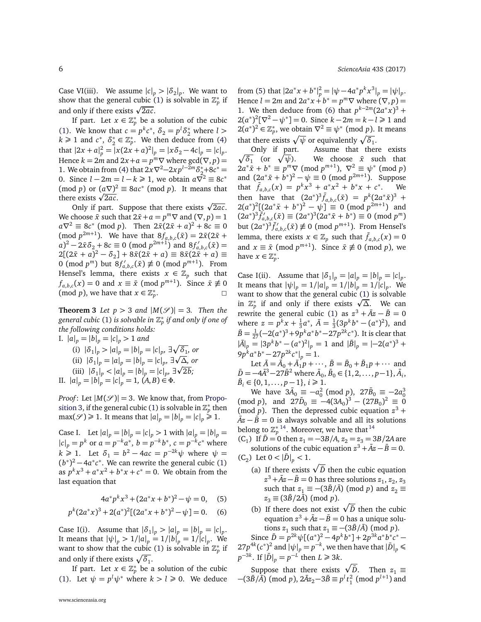Case VI(iii). We assume  $|c|_p > |\delta_2|_p$ . We want to show that the general cubic [\(1\)](#page-0-0) is solvable in  $\mathbb{Z}_p^*$  if snow that the general cubic (<br>and only if there exists  $\sqrt{2ac}$ .

If part. Let  $x \in \mathbb{Z}_p^*$  be a solution of the cubic [\(1\)](#page-0-0). We know that  $c = p^k c^*$ ,  $\delta_2 = p^l \delta_2^*$  where  $l >$  $k \geqslant 1$  and  $c^*$ ,  $\delta^*$  $\mathbf{z}_2^* \in \mathbb{Z}_p^*$ . We then deduce from [\(4\)](#page-4-0) that  $|2x + a|^2_p = |x(2x + a)^2|_p = |x\delta_2 - 4c|_p = |c|_p$ . Hence  $k = 2m$  and  $2x + a = p^m \nabla$  where  $gcd(\nabla, p) =$ 1. We obtain from [\(4\)](#page-4-0) that  $2x\nabla^2-2xp^{l-2m}\delta_2^*+8c^* =$ 0. Since  $l - 2m = l - k \ge 1$ , we obtain  $a\overline{\sqrt{2}}^2 \equiv 8c^*$  $(\text{mod } p)$  or  $(a\nabla)^2 \equiv 8ac^* \pmod{p}$ . It means that  $\frac{1}{2}$  (mod *p*) or  $\frac{aV}{2ac}$ . e exists √2*ac*.<br>Only if part. Suppose that there exists √2*ac*.

We choose  $\bar{x}$  such that  $2\bar{x}+a=p^m\nabla$  and  $(\nabla, p)=1$  $a\nabla^2 \equiv 8c^* \pmod{p}$ . Then  $2\bar{x}(2\bar{x}+a)^2 + 8c \equiv 0$  $\pmod{p^{2m+1}}$ . We have that  $8f_{a,b,c}(\bar{x}) = 2\bar{x}(2\bar{x} + \bar{x})$  $a^2 - 2\bar{x}\delta_2 + 8c \equiv 0 \pmod{p^{2m+1}}$  and  $8f'_{a,b,c}(\bar{x}) =$  $2[(2\bar{x}+a)^2-\delta_2]+8\bar{x}(2\bar{x}+a)\equiv 8\bar{x}(2\bar{x}+a)\equiv$ 0 (mod  $p^m$ ) but  $8f'_{a,b,c}(\bar{x}) \not\equiv 0 \pmod{p^{m+1}}$ . From Hensel's lemma, there exists  $x \in \mathbb{Z}_p$  such that  $f_{a,b,c}(x) = 0$  and  $x \equiv \bar{x} \pmod{p^{m+1}}$ . Since  $\bar{x} \not\equiv 0$  $(\text{mod } p)$ , we have that  $x \in \mathbb{Z}_p^*$ .  $\Box$ 

**Theorem 3** *Let*  $p > 3$  *and*  $|M(\mathcal{S})| = 3$ *. Then the general cubic* [\(1\)](#page-0-0) *is solvable in* Z ∗ *p if and only if one of the following conditions holds:*

I.  $|a|_p = |b|_p = |c|_p > 1$  *and* (i)  $|\delta_1|_p > |a|_p = |b|_p = |c|_p, \exists \sqrt{\delta_1}$ , or

(ii) 
$$
|\delta_1|_p = |a|_p = |b|_p = |c|_p, \exists \sqrt{\Delta}, or
$$

(iii) 
$$
|\delta_1|_p < |a|_p = |b|_p = |c|_p, \exists \sqrt{2b};
$$

II.  $|a|_p = |b|_p^2 = |c|_p^2 = 1$ ,  $(A, B) \in \Phi$ .

*Proof*: Let  $|M(S)| = 3$ . We know that, from [Propo](#page-2-0)[sition 3,](#page-2-0) if the general cubic [\(1\)](#page-0-0) is solvable in  $\mathbb{Z}_p^*$  then  $\max(\mathcal{S}) \ge 1$ . It means that  $|a|_p = |b|_p = |c|_p \ge 1$ .

Case I. Let  $|a|_p = |b|_p = |c|_p > 1$  with  $|a|_p = |b|_p = 1$  $|c|_p = p^k$  or  $a = p^{-k}a^*$ ,  $b = p^{-k}b^*$ ,  $c = p^{-k}c^*$  where  $k \ge 1$ . Let  $\delta_1 = b^2 - 4ac = p^{-2k}\psi$  where  $\psi =$  $(b^*)^2 - 4a^*c^*$ . We can rewrite the general cubic [\(1\)](#page-0-0) as  $p^k x^3 + a^* x^2 + b^* x + c^* = 0$ . We obtain from the last equation that

$$
4a^*p^kx^3 + (2a^*x + b^*)^2 - \psi = 0, \quad (5)
$$

$$
p^{k}(2a^{*}x)^{3} + 2(a^{*})^{2}[(2a^{*}x + b^{*})^{2} - \psi] = 0.
$$
 (6)

Case I(i). Assume that  $|\delta_1|_p > |a|_p = |b|_p = |c|_p$ . It means that  $|\psi|_p > 1/|a|_p = 1/|b|_p = 1/|c|_p$ . We want to show that the cubic [\(1\)](#page-0-0) is solvable in  $\mathbb{Z}_p^*$  if and only if there exists  $\sqrt{\delta_1}$ .

If part. Let  $x \in \mathbb{Z}_p^*$  be a solution of the cubic [\(1\)](#page-0-0). Let  $\psi = p^l \psi^*$  where  $k > l \ge 0$ . We deduce from [\(5\)](#page-5-0) that  $|2a^*x + b^*|_p^2 = |\psi - 4a^*p^kx^3|_p = |\psi|_p$ . Hence  $l = 2m$  and  $2a^*x + b^* = p^m \nabla$  where  $(\nabla, p) =$ 1. We then deduce from [\(6\)](#page-5-1) that  $p^{k-2m}(2a^*x)^3$  +  $2(a^*)^2[\nabla^2 - \psi^*] = 0$ . Since  $k - 2m = k - l \ge 1$  and  $2(a^*)^2 \in \mathbb{Z}_p^*$ , we obtain  $\nabla^2 \equiv \psi^* \pmod{p}$ . It means that there exists  $\sqrt{\psi}$  or equivalently  $\sqrt{\delta_1}$ .

 $\sqrt{\delta_1}$  (or  $\sqrt{\delta_2}$ Only if part. Assume that there exists *ψ*). We choose *x*¯ such that  $2a^*\bar{x} + b^* \equiv p^m \nabla \pmod{p^{m+1}}, \ \nabla^2 \equiv \psi^* \pmod{p}$ and  $(2a^*\bar{x} + b^*)^2 - \psi \equiv 0 \pmod{p^{2m+1}}$ . Suppose that  $\bar{f}_{a,b,c}(x) = p^k x^3 + a^* x^2 + b^* x + c^*$ . We then have that  $(2a^*)^3 \bar{f}_{a,b,c}(\bar{x}) = p^k (2a^* \bar{x})^3 + p^* \bar{x}$  $2(a^*)^2[(2a^*\bar{x} + b^*)^2 - \psi] \equiv 0 \pmod{p^{2m+1}}$  and  $(2a^*)^3 \bar{f}'_{a,b,c}(\bar{x}) \equiv (2a^*)^3 (2a^* \bar{x} + b^*) \equiv 0 \pmod{p^m}$ but  $(2a^*)^3 \bar{f}'_{a,b,c}(\bar{x}) \not\equiv 0 \pmod{p^{m+1}}$ . From Hensel's lemma, there exists  $x \in \mathbb{Z}_p$  such that  $\bar{f}_{a,b,c}(x) = 0$ and  $x \equiv \bar{x} \pmod{p^{m+1}}$ . Since  $\bar{x} \not\equiv 0 \pmod{p}$ , we have  $x \in \mathbb{Z}_p^*$ .

Case I(ii). Assume that  $|\delta_1|_p = |a|_p = |b|_p = |c|_p$ . It means that  $|\psi|_p = 1/|a|_p = 1/|b|_p = 1/|c|_p$ . We want to show that the general cubic [\(1\)](#page-0-0) is solvable want to show that the general cubic (1) is solvable<br>in  $\mathbb{Z}_p^*$  if and only if there exists  $\sqrt{\Delta}$ . We can rewrite the general cubic [\(1\)](#page-0-0) as  $z^3 + \overline{A}z - \overline{B} = 0$ where  $z = p^k x + \frac{1}{3}a^*, \ \bar{A} = \frac{1}{3}(3p^k b^* - (a^*)^2)$ , and  $\bar{B} = \frac{1}{27}(-2(a^*)^3 + 9p^ka^*b^* - 27p^{2k}c^*)$ . It is clear that  $|\bar{A}|_p = |3p^kb^* - (a^*)^2|_p = 1$  and  $|\bar{B}|_p = |-2(a^*)^3 +$  $9p^k a^* b^* - 27p^{2k} c^* \big|_p = 1.$ 

Let  $\bar{A} = \bar{A}_0 + \bar{A}_1 p + \cdots$ ,  $\bar{B} = \bar{B}_0 + \bar{B}_1 p + \cdots$  and  $\bar{D} = -4\bar{A}^3 - 27\bar{B}^2$  where  $\bar{A}_0$ ,  $\bar{B}_0 \in \{1, 2, ..., p-1\}, \bar{A}_i$ ,  $\bar{B}_i \in \{0, 1, \ldots, p-1\}, i \geq 1.$ 

We have  $3\bar{A}_0 \equiv -a_0^2 \pmod{p}$ ,  $27\bar{B}_0 \equiv -2a_0^3$  $(\text{mod } p)$ , and  $27\overline{D}_0 \equiv -4(3A_0)^3 - (27B_0)^2 \equiv 0$ (mod *p*). Then the depressed cubic equation  $z^3$  +  $\overline{Az} - \overline{B} = 0$  is always solvable and all its solutions belong to  $\mathbb{Z}_p^{*\,14}$  $\mathbb{Z}_p^{*\,14}$  $\mathbb{Z}_p^{*\,14}$ . Moreover, we have that  $^{14}$ 

 $(C_1)$  If  $\bar{D} = 0$  then  $z_1 = -3B/A$ ,  $z_2 = z_3 = 3B/2A$  are solutions of the cubic equation  $z^3 + \bar{A}z - \bar{B} = 0$ .  $(C_2)$  Let  $0 < |\bar{D}|_p < 1$ .

- (a) If there exists  $\sqrt{\overline{D}}$  then the cubic equation  $z^3 + \bar{A}z - \bar{B} = 0$  has three solutions  $z_1, z_2, z_3$ such that  $z_1 \equiv -(3\bar{B}/\bar{A}) \pmod{p}$  and  $z_2 \equiv$  $z_3 \equiv (3\overline{B}/2\overline{A}) \pmod{p}$ .
- <span id="page-5-1"></span><span id="page-5-0"></span>(b) If there does not exist  $\sqrt{\overline{D}}$  then the cubic equation  $z^3 + \bar{A}z - \bar{B} = 0$  has a unique solutions *z*<sub>1</sub> such that  $z_1 \equiv -(3\bar{B}/\bar{A}) \pmod{p}$ .

Since  $\bar{D} = p^{2k}\psi[(a^*)^2 - 4p^k\dot{b}^*] + 2p^{3k}a^*b^*c^* 27p^{4k}(c^*)^2$  and  $|\psi|_p = p^{-k}$ , we then have that  $|\bar{D}|_p \le$ *p*<sup>-3*k*</sup>. If  $|\bar{D}|_p = p^{-L^2}$  then *L* ≥ 3*k*.

Suppose that there exists  $\sqrt{\overline{D}}$ . Then  $z_1 \equiv$  $-(3\bar{B}/\bar{A}) \pmod{p}$ ,  $2\bar{A}z_2 - 3\bar{B} \equiv p^l t_1^2 \pmod{p^{l+1}}$  and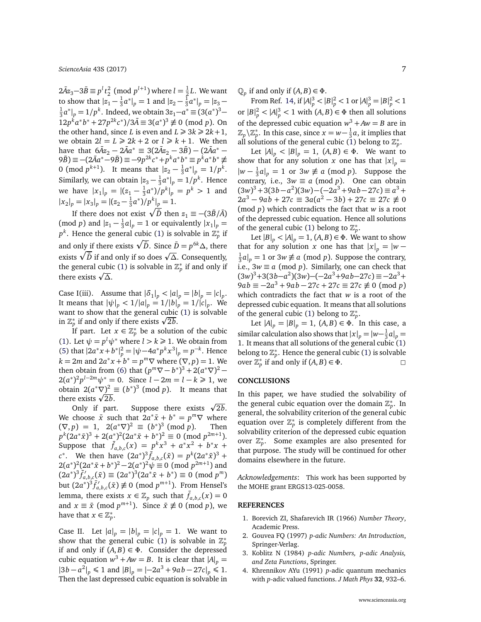*ScienceAsia* [43S \(2017\)](http://www.scienceasia.org/2017.html) 7

 $2\bar{A}z_3 - 3\bar{B} \equiv p^lt_2^2 \pmod{p^{l+1}}$  where  $l = \frac{1}{2}L$ . We want to show that  $|z_1 - \frac{1}{3}a^*|_p = 1$  and  $|z_2 - \frac{1}{3}a^*|_p = |z_3 - \frac{1}{3}a^*|_p$  $\frac{1}{3}a^*|_p = 1/p^k$ . Indeed, we obtain 3z<sub>1</sub>−*a*<sup>\*</sup> ≡ (3(*a*<sup>\*</sup>)<sup>3</sup>−  $12p^{\hat{k}}a^*b^* + 27p^{2k}c^*)/3\bar{A} \equiv 3(a^*)^3 \not\equiv 0 \pmod{p}$ . On the other hand, since *L* is even and  $L \ge 3k \ge 2k+1$ , we obtain  $2l = L \ge 2k + 2$  or  $l \ge k + 1$ . We then have that  $6\bar{A}z_2 - 2\bar{A}a^* \equiv 3(2\bar{A}z_2 - 3\bar{B}) - (2\bar{A}a^* (9\bar{B}) \equiv -(2\bar{A}a^* - 9\bar{B}) \equiv -9p^{2k}c^* + p^ka^*b^* \equiv p^k a^*b^* \not\equiv$ 0 (mod  $p^{k+1}$ ). It means that  $|z_2 - \frac{1}{3}a^*|_p = 1/p^k$ . Similarly, we can obtain  $|z_3 - \frac{1}{3}a^*|_p = 1/p^k$ . Hence we have  $|x_1|_p = |(z_1 - \frac{1}{3}a^*)/p^k|_p = p^k > 1$  and  $|x_2|_p = |x_3|_p = |(z_2 - \frac{1}{3}a^*)/p^k|_p = 1.$ 

If there does not exist  $\sqrt{\bar{D}}$  then  $z_1 \equiv -(3\bar{B}/\bar{A})$ (mod *p*) and  $|z_1 - \frac{1}{3}a|_p = 1$  or equivalently  $|x_1|_p =$  $p^k$ . Hence the general cubic [\(1\)](#page-0-0) is solvable in  $\mathbb{Z}_p^*$  if and only if there exists  $\sqrt{\bar{D}}$ . Since  $\bar{D} = p^{6k} \Delta$ , there and only if there exists  $\sqrt{D}$ . Since  $D - p \Delta$ , there exists  $\sqrt{D}$  if and only if so does  $\sqrt{\Delta}$ . Consequently, the general cubic [\(1\)](#page-0-0) is solvable in  $\mathbb{Z}_p^*$  if and only if there exists  $\sqrt{\Delta}$ .

Case I(iii). Assume that  $|\delta_1|_p < |a|_p = |b|_p = |c|_p$ . It means that  $|\psi|_p < 1/|a|_p = 1/|b|_p = 1/|c|_p$ . We want to show that the general cubic [\(1\)](#page-0-0) is solvable want to show that the general cubic<br>in  $\mathbb{Z}_p^*$  if and only if there exists  $\sqrt{2b}$ .

If part. Let  $x \in \mathbb{Z}_p^*$  be a solution of the cubic [\(1\)](#page-0-0). Let  $\psi = p^l \psi^*$  where  $l > k \ge 1$ . We obtain from [\(5\)](#page-5-0) that  $|2a^*x + b^*|_p^2 = |\psi - 4a^*p^kx^3|_p = p^{-k}$ . Hence *k* = 2*m* and 2*a*<sup>\*</sup>*x* + *b*<sup>\*</sup> = *p*<sup>*m*</sup>∇ where  $(∇, p) = 1$ . We then obtain from [\(6\)](#page-5-1) that  $(p^m \nabla - b^*)^3 + 2(a^* \nabla)^2$  – 2 $(a^*)^2 p^{l-2m} \psi^* = 0$ . Since  $l - 2m = l - k \ge 1$ , we obtain  $2(a^*\nabla)^2 \equiv (b^*)^3 \pmod{p}$ . It means that obtain  $2(a^*\nabla)^2$ :<br>there exists  $\sqrt{2b}$ .

e exists √2*b*.<br>Only if part. Suppose there exists √2*b*. We choose  $\bar{x}$  such that  $2a^*\bar{x} + b^* = p^m \nabla$  where  $(\nabla, p) = 1$ ,  $2(a^*\nabla)^2 \equiv (b^*)^3 \pmod{p}$ . Then  $p^k(2a^*\bar{x})^3 + 2(a^*)^2(2a^*\bar{x} + b^*)^2 \equiv 0 \pmod{p^{2m+1}}.$ Suppose that  $\bar{f}_{a,b,c}(x) = p^k x^3 + a^* x^2 + b^* x + c$  $c^*$ . We then have  $(2a^*)^3 \bar{f}_{a,b,c}(\bar{x}) = p^k (2a^* \bar{x})^3 + p^* \bar{x}$  $2(a^*)^2(2a^*\bar{x}+b^*)^2-2(a^*)^2\psi \equiv 0 \pmod{p^{2m+1}}$  and  $(2a^*)^3 \bar{f}'_{a,b,c}(\bar{x}) \equiv (2a^*)^3 (2a^* \bar{x} + b^*) \equiv 0 \pmod{p^m}$ but  $(2a^*)^3 \bar{f}'_{a,b,c}(\bar{x}) \not\equiv 0 \pmod{p^{m+1}}$ . From Hensel's lemma, there exists  $x \in \mathbb{Z}_p$  such that  $\bar{f}_{a,b,c}(x) = 0$ and  $x \equiv \bar{x} \pmod{p^{m+1}}$ . Since  $\bar{x} \not\equiv 0 \pmod{p}$ , we have that  $x \in \mathbb{Z}_p^*$ .

Case II. Let  $|a|_p = |b|_p = |c|_p = 1$ . We want to show that the general cubic [\(1\)](#page-0-0) is solvable in  $\mathbb{Z}_p^*$ if and only if  $(A, B) \in \Phi$ . Consider the depressed cubic equation  $w^3 + Aw = B$ . It is clear that  $|A|_p =$  $|3b - a^2|_p \le 1$  and  $|B|_p = |-2a^3 + 9ab - 27c|_p \le 1$ . Then the last depressed cubic equation is solvable in  $\mathbb{Q}_p$  if and only if  $(A, B) \in \Phi$ .

From Ref. [14,](#page-7-7) if  $|A|_p^3 < |B|_p^2 < 1$  or  $|A|_p^3 = |B|_p^2 < 1$ or  $|B|^2_p < |A|^3_p < 1$  with  $(A, B) \in \Phi$  then all solutions of the depressed cubic equation  $w^3 + Aw = B$  are in  $\mathbb{Z}_p \backslash \mathbb{Z}_p^*$ . In this case, since  $x = w - \frac{1}{3}a$ , it implies that all solutions of the general cubic [\(1\)](#page-0-0) belong to  $\mathbb{Z}_p^*$ .

Let  $|A|_p < |B|_p = 1$ ,  $(A, B) \in \Phi$ . We want to show that for any solution *x* one has that  $|x|_p =$  $|w - \frac{1}{3}a|_p = 1$  or  $3w \not\equiv a \pmod{p}$ . Suppose the contrary, i.e.,  $3w \equiv a \pmod{p}$ . One can obtain  $(3w)^3 + 3(3b - a^2)(3w) - (-2a^3 + 9ab - 27c) \equiv a^3 +$  $2a^3 - 9ab + 27c \equiv 3a(a^2 - 3b) + 27c \equiv 27c \not\equiv 0$ (mod *p*) which contradicts the fact that *w* is a root of the depressed cubic equation. Hence all solutions of the general cubic [\(1\)](#page-0-0) belong to  $\mathbb{Z}_p^*$ .

Let  $|B|_p < |A|_p = 1$ ,  $(A, B) \in \Phi$ . We want to show that for any solution *x* one has that  $|x|_p = |w \frac{1}{3}a|_p = 1$  or  $3w \not\equiv a \pmod{p}$ . Suppose the contrary, i.e.,  $3w \equiv a \pmod{p}$ . Similarly, one can check that  $(3w)^3 + 3(3b - a^2)(3w) - (-2a^3 + 9ab - 27c) \equiv -2a^3 +$  $9ab \equiv -2a^3 + 9ab - 27c + 27c \equiv 27c \not\equiv 0 \pmod{p}$ which contradicts the fact that *w* is a root of the depressed cubic equation. It means that all solutions of the general cubic [\(1\)](#page-0-0) belong to  $\mathbb{Z}_p^*$ .

Let  $|A|_p = |B|_p = 1$ ,  $(A, B) \in Φ$ . In this case, a similar calculation also shows that  $|x|_p = |w - \frac{1}{3}a|_p =$ 1. It means that all solutions of the general cubic [\(1\)](#page-0-0) belong to  $\mathbb{Z}_p^*$ . Hence the general cubic [\(1\)](#page-0-0) is solvable over  $\mathbb{Z}_p^*$  if and only if  $(A, B) \in \Phi$ .

#### **CONCLUSIONS**

In this paper, we have studied the solvability of the general cubic equation over the domain  $\mathbb{Z}_p^*$ . In general, the solvability criterion of the general cubic equation over  $\mathbb{Z}_p^*$  is completely different from the solvability criterion of the depressed cubic equation over  $\mathbb{Z}_p^*$ . Some examples are also presented for that purpose. The study will be continued for other domains elsewhere in the future.

*Acknowledgements*: This work has been supported by the MOHE grant ERGS13-025-0058.

#### **REFERENCES**

- <span id="page-6-0"></span>1. Borevich ZI, Shafarevich IR (1966) *Number Theory*, Academic Press.
- 2. Gouvea FQ (1997) *[p-adic Numbers: An Introduction](http://dx.doi.org/10.1007/978-3-642-59058-0)*, [Springer-Verlag.](http://dx.doi.org/10.1007/978-3-642-59058-0)
- <span id="page-6-1"></span>3. Koblitz N (1984) *p-adic Numbers, p-adic Analysis, and Zeta Functions*, Springer.
- <span id="page-6-2"></span>4. Khrennikov AYu (1991) *p*[-adic quantum mechanics](http://dx.doi.org/10.1063/1.529353) with *p*[-adic valued functions.](http://dx.doi.org/10.1063/1.529353) *J Math Phys* **32**, 932–6.